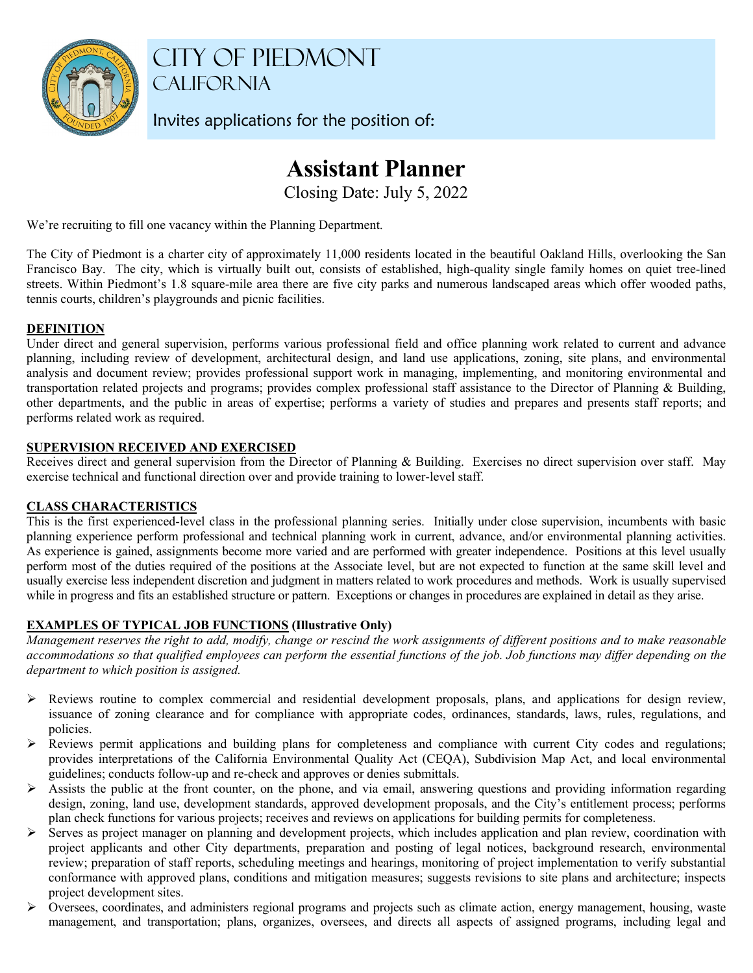

CITY OF PIEDMONT **CALIFORNIA** 

Invites applications for the position of:

# **Assistant Planner**

Closing Date: July 5, 2022

We're recruiting to fill one vacancy within the Planning Department.

The City of Piedmont is a charter city of approximately 11,000 residents located in the beautiful Oakland Hills, overlooking the San Francisco Bay. The city, which is virtually built out, consists of established, high-quality single family homes on quiet tree-lined streets. Within Piedmont's 1.8 square-mile area there are five city parks and numerous landscaped areas which offer wooded paths, tennis courts, children's playgrounds and picnic facilities.

# **DEFINITION**

Under direct and general supervision, performs various professional field and office planning work related to current and advance planning, including review of development, architectural design, and land use applications, zoning, site plans, and environmental analysis and document review; provides professional support work in managing, implementing, and monitoring environmental and transportation related projects and programs; provides complex professional staff assistance to the Director of Planning & Building, other departments, and the public in areas of expertise; performs a variety of studies and prepares and presents staff reports; and performs related work as required.

# **SUPERVISION RECEIVED AND EXERCISED**

Receives direct and general supervision from the Director of Planning & Building. Exercises no direct supervision over staff. May exercise technical and functional direction over and provide training to lower-level staff.

# **CLASS CHARACTERISTICS**

This is the first experienced-level class in the professional planning series. Initially under close supervision, incumbents with basic planning experience perform professional and technical planning work in current, advance, and/or environmental planning activities. As experience is gained, assignments become more varied and are performed with greater independence. Positions at this level usually perform most of the duties required of the positions at the Associate level, but are not expected to function at the same skill level and usually exercise less independent discretion and judgment in matters related to work procedures and methods. Work is usually supervised while in progress and fits an established structure or pattern. Exceptions or changes in procedures are explained in detail as they arise.

# **EXAMPLES OF TYPICAL JOB FUNCTIONS (Illustrative Only)**

*Management reserves the right to add, modify, change or rescind the work assignments of different positions and to make reasonable accommodations so that qualified employees can perform the essential functions of the job. Job functions may differ depending on the department to which position is assigned.* 

- $\triangleright$  Reviews routine to complex commercial and residential development proposals, plans, and applications for design review, issuance of zoning clearance and for compliance with appropriate codes, ordinances, standards, laws, rules, regulations, and policies.
- Reviews permit applications and building plans for completeness and compliance with current City codes and regulations; provides interpretations of the California Environmental Quality Act (CEQA), Subdivision Map Act, and local environmental guidelines; conducts follow-up and re-check and approves or denies submittals.
- $\triangleright$  Assists the public at the front counter, on the phone, and via email, answering questions and providing information regarding design, zoning, land use, development standards, approved development proposals, and the City's entitlement process; performs plan check functions for various projects; receives and reviews on applications for building permits for completeness.
- Serves as project manager on planning and development projects, which includes application and plan review, coordination with project applicants and other City departments, preparation and posting of legal notices, background research, environmental review; preparation of staff reports, scheduling meetings and hearings, monitoring of project implementation to verify substantial conformance with approved plans, conditions and mitigation measures; suggests revisions to site plans and architecture; inspects project development sites.
- $\triangleright$  Oversees, coordinates, and administers regional programs and projects such as climate action, energy management, housing, waste management, and transportation; plans, organizes, oversees, and directs all aspects of assigned programs, including legal and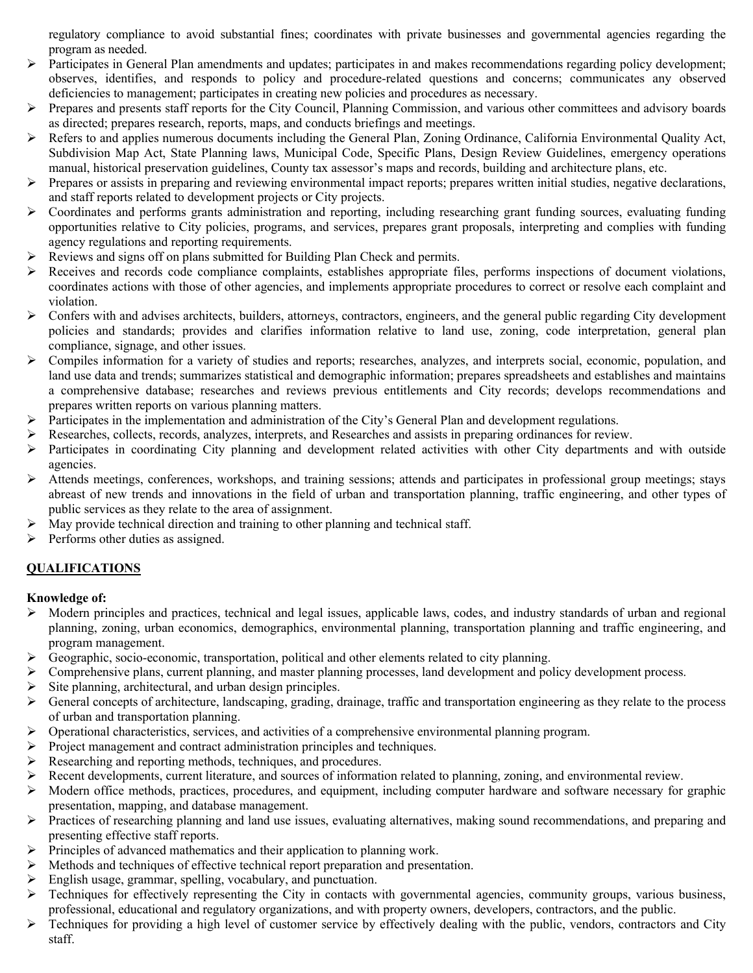regulatory compliance to avoid substantial fines; coordinates with private businesses and governmental agencies regarding the program as needed.

- $\triangleright$  Participates in General Plan amendments and updates; participates in and makes recommendations regarding policy development; observes, identifies, and responds to policy and procedure-related questions and concerns; communicates any observed deficiencies to management; participates in creating new policies and procedures as necessary.
- $\triangleright$  Prepares and presents staff reports for the City Council, Planning Commission, and various other committees and advisory boards as directed; prepares research, reports, maps, and conducts briefings and meetings.
- Refers to and applies numerous documents including the General Plan, Zoning Ordinance, California Environmental Quality Act, Subdivision Map Act, State Planning laws, Municipal Code, Specific Plans, Design Review Guidelines, emergency operations manual, historical preservation guidelines, County tax assessor's maps and records, building and architecture plans, etc.
- $\triangleright$  Prepares or assists in preparing and reviewing environmental impact reports; prepares written initial studies, negative declarations, and staff reports related to development projects or City projects.
- $\triangleright$  Coordinates and performs grants administration and reporting, including researching grant funding sources, evaluating funding opportunities relative to City policies, programs, and services, prepares grant proposals, interpreting and complies with funding agency regulations and reporting requirements.
- Reviews and signs off on plans submitted for Building Plan Check and permits.
- Receives and records code compliance complaints, establishes appropriate files, performs inspections of document violations, coordinates actions with those of other agencies, and implements appropriate procedures to correct or resolve each complaint and violation.
- $\triangleright$  Confers with and advises architects, builders, attorneys, contractors, engineers, and the general public regarding City development policies and standards; provides and clarifies information relative to land use, zoning, code interpretation, general plan compliance, signage, and other issues.
- $\triangleright$  Compiles information for a variety of studies and reports; researches, analyzes, and interprets social, economic, population, and land use data and trends; summarizes statistical and demographic information; prepares spreadsheets and establishes and maintains a comprehensive database; researches and reviews previous entitlements and City records; develops recommendations and prepares written reports on various planning matters.
- Participates in the implementation and administration of the City's General Plan and development regulations.
- Researches, collects, records, analyzes, interprets, and Researches and assists in preparing ordinances for review.
- Participates in coordinating City planning and development related activities with other City departments and with outside agencies.
- $\triangleright$  Attends meetings, conferences, workshops, and training sessions; attends and participates in professional group meetings; stays abreast of new trends and innovations in the field of urban and transportation planning, traffic engineering, and other types of public services as they relate to the area of assignment.
- $\triangleright$  May provide technical direction and training to other planning and technical staff.
- $\triangleright$  Performs other duties as assigned.

# **QUALIFICATIONS**

# **Knowledge of:**

- $\triangleright$  Modern principles and practices, technical and legal issues, applicable laws, codes, and industry standards of urban and regional planning, zoning, urban economics, demographics, environmental planning, transportation planning and traffic engineering, and program management.
- $\triangleright$  Geographic, socio-economic, transportation, political and other elements related to city planning.
- $\triangleright$  Comprehensive plans, current planning, and master planning processes, land development and policy development process.
- Site planning, architectural, and urban design principles.
- General concepts of architecture, landscaping, grading, drainage, traffic and transportation engineering as they relate to the process of urban and transportation planning.
- $\triangleright$  Operational characteristics, services, and activities of a comprehensive environmental planning program.
- $\triangleright$  Project management and contract administration principles and techniques.
- $\triangleright$  Researching and reporting methods, techniques, and procedures.
- $\triangleright$  Recent developments, current literature, and sources of information related to planning, zoning, and environmental review.
- $\triangleright$  Modern office methods, practices, procedures, and equipment, including computer hardware and software necessary for graphic presentation, mapping, and database management.
- $\triangleright$  Practices of researching planning and land use issues, evaluating alternatives, making sound recommendations, and preparing and presenting effective staff reports.
- Principles of advanced mathematics and their application to planning work.
- Methods and techniques of effective technical report preparation and presentation.
- $\triangleright$  English usage, grammar, spelling, vocabulary, and punctuation.
- $\triangleright$  Techniques for effectively representing the City in contacts with governmental agencies, community groups, various business, professional, educational and regulatory organizations, and with property owners, developers, contractors, and the public.
- $\triangleright$  Techniques for providing a high level of customer service by effectively dealing with the public, vendors, contractors and City staff.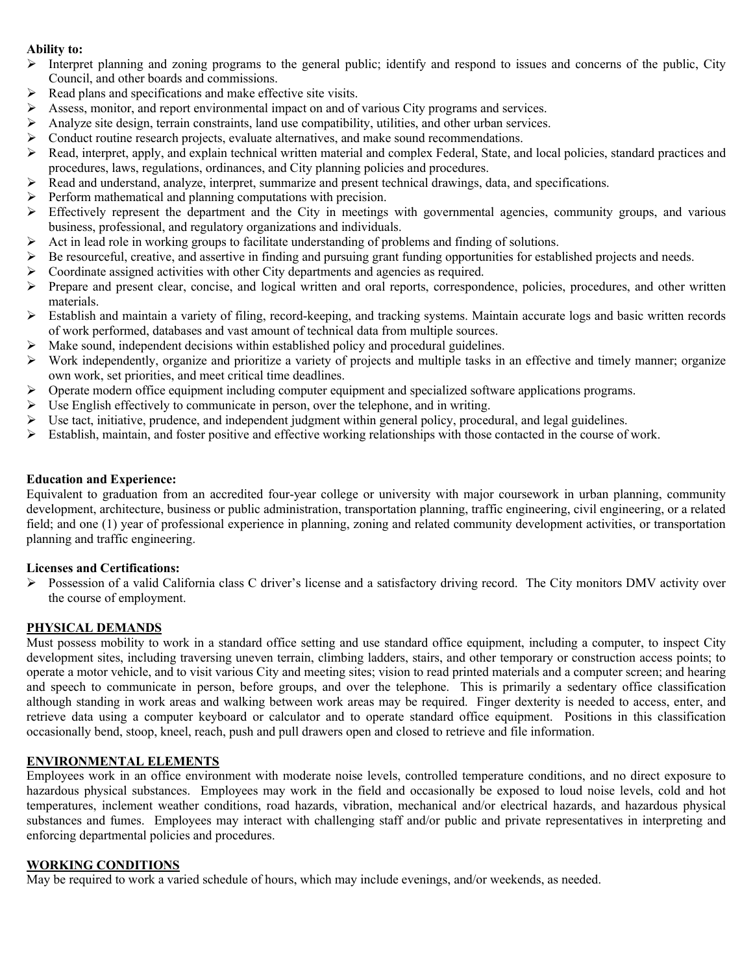## **Ability to:**

- Interpret planning and zoning programs to the general public; identify and respond to issues and concerns of the public, City Council, and other boards and commissions.
- $\triangleright$  Read plans and specifications and make effective site visits.
- Assess, monitor, and report environmental impact on and of various City programs and services.
- $\triangleright$  Analyze site design, terrain constraints, land use compatibility, utilities, and other urban services.
- $\triangleright$  Conduct routine research projects, evaluate alternatives, and make sound recommendations.
- $\triangleright$  Read, interpret, apply, and explain technical written material and complex Federal, State, and local policies, standard practices and procedures, laws, regulations, ordinances, and City planning policies and procedures.
- Read and understand, analyze, interpret, summarize and present technical drawings, data, and specifications.
- $\triangleright$  Perform mathematical and planning computations with precision.
- $\triangleright$  Effectively represent the department and the City in meetings with governmental agencies, community groups, and various business, professional, and regulatory organizations and individuals.
- $\triangleright$  Act in lead role in working groups to facilitate understanding of problems and finding of solutions.
- $\triangleright$  Be resourceful, creative, and assertive in finding and pursuing grant funding opportunities for established projects and needs.
- $\triangleright$  Coordinate assigned activities with other City departments and agencies as required.
- $\triangleright$  Prepare and present clear, concise, and logical written and oral reports, correspondence, policies, procedures, and other written materials.
- Establish and maintain a variety of filing, record-keeping, and tracking systems. Maintain accurate logs and basic written records of work performed, databases and vast amount of technical data from multiple sources.
- $\triangleright$  Make sound, independent decisions within established policy and procedural guidelines.
- $\triangleright$  Work independently, organize and prioritize a variety of projects and multiple tasks in an effective and timely manner; organize own work, set priorities, and meet critical time deadlines.
- $\triangleright$  Operate modern office equipment including computer equipment and specialized software applications programs.
- $\triangleright$  Use English effectively to communicate in person, over the telephone, and in writing.
- Use tact, initiative, prudence, and independent judgment within general policy, procedural, and legal guidelines.
- $\triangleright$  Establish, maintain, and foster positive and effective working relationships with those contacted in the course of work.

## **Education and Experience:**

Equivalent to graduation from an accredited four-year college or university with major coursework in urban planning, community development, architecture, business or public administration, transportation planning, traffic engineering, civil engineering, or a related field; and one (1) year of professional experience in planning, zoning and related community development activities, or transportation planning and traffic engineering.

#### **Licenses and Certifications:**

 $\triangleright$  Possession of a valid California class C driver's license and a satisfactory driving record. The City monitors DMV activity over the course of employment.

# **PHYSICAL DEMANDS**

Must possess mobility to work in a standard office setting and use standard office equipment, including a computer, to inspect City development sites, including traversing uneven terrain, climbing ladders, stairs, and other temporary or construction access points; to operate a motor vehicle, and to visit various City and meeting sites; vision to read printed materials and a computer screen; and hearing and speech to communicate in person, before groups, and over the telephone. This is primarily a sedentary office classification although standing in work areas and walking between work areas may be required. Finger dexterity is needed to access, enter, and retrieve data using a computer keyboard or calculator and to operate standard office equipment. Positions in this classification occasionally bend, stoop, kneel, reach, push and pull drawers open and closed to retrieve and file information.

# **ENVIRONMENTAL ELEMENTS**

Employees work in an office environment with moderate noise levels, controlled temperature conditions, and no direct exposure to hazardous physical substances. Employees may work in the field and occasionally be exposed to loud noise levels, cold and hot temperatures, inclement weather conditions, road hazards, vibration, mechanical and/or electrical hazards, and hazardous physical substances and fumes. Employees may interact with challenging staff and/or public and private representatives in interpreting and enforcing departmental policies and procedures.

## **WORKING CONDITIONS**

May be required to work a varied schedule of hours, which may include evenings, and/or weekends, as needed.